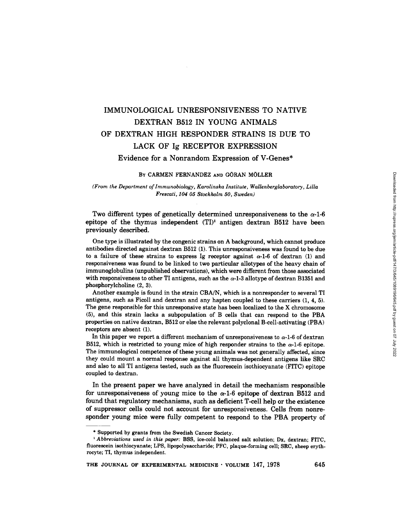# IMMUNOLOGICAL UNRESPONSIVENESS TO NATIVE DEXTRAN B512 IN YOUNG ANIMALS OF DEXTRAN HIGH RESPONDER STRAINS IS DUE TO LACK OF Ig RECEPTOR EXPRESSION Evidence for a Nonrandom Expression of V-Genes\*

#### BY CARMEN FERNANDEZ AND GORAN MOLLER

### *(From the Department of lmmunobiology, Karolinska Institute, Wallenberglaboratory, LiUa Frescati, 104 05 Stockholm 50, Sweden)*

Two different types of genetically determined unresponsiveness to the  $\alpha$ -1-6 epitope of the thymus independent  $(TI)^1$  antigen dextran B512 have been previously described.

One type is illustrated by the congenic strains on A background, which cannot produce antibodies directed against dextran B512 (1). This unresponsiveness was found to be due to a failure of these strains to express Ig receptor against  $\alpha$ -1-6 of dextran (1) and responsiveness was found to be linked to two particular allotypes of the heavy chain of immunoglobulins (unpublished observations), which were different from those associated with responsiveness to other TI antigens, such as the  $\alpha$ -1-3 allotype of dextran B1351 and phosphorylcholine (2, 3).

Another example is found in the strain CBA/N, which is a nonresponder to several TI antigens, such as Ficoll and dextran and any hapten coupled to these carriers (1, 4, 5). The gene responsible for this unresponsive state has been localized to the X chromosome (5), and this strain lacks a subpopulation of B cells that can respond to the PBA properties on native dextran, B512 or else the relevant polyclonal B-cell-activating (PBA) receptors are absent (1).

In this paper we report a different mechanism of unresponsiveness to  $\alpha$ -1-6 of dextran B512, which is restricted to young mice of high responder strains to the  $\alpha$ -1-6 epitope. The immunological competence of these young animals was not generally affected, since they could mount a normal response against all thymus-dependent antigens like SRC and also to all TI antigens tested, such as the fluorescein isothiocyanate (FITC) epitope coupled to dextran.

In the present paper we have analyzed in detail the mechanism responsible for unresponsiveness of young mice to the  $\alpha$ -1-6 epitope of dextran B512 and found that regulatory mechanisms, such as deficient T-cell help or the existence of suppressor cells could not account for unresponsiveness. Cells from nonresponder young mice were fully competent to respond to the PBA property of

<sup>\*</sup> Supported by grants from the Swedish Cancer Society.

*<sup>1</sup> Abbreviations Used in this paper:* BSS, ice-cold balanced salt solution; Dx, dextran; FITC, fluorescein isothiocyanate; LPS, lipopolysaccharide; PFC, plaque-forming cell; SRC, sheep erythrocyte; TI, thymus independent.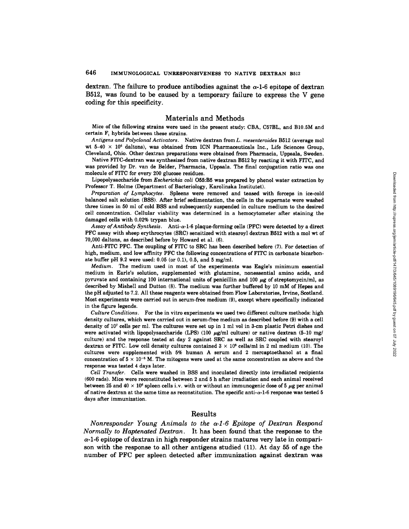dextran. The failure to produce antibodies against the  $\alpha$ -1-6 epitope of dextran B512, was found to be caused by a temporary failure to express the V gene coding for this specificity.

## Materials and Methods

Mice of the following strains were used in the present study: CBA, C57BL, and B10.SM and certain  $F_1$  hybrids between these strains.

*Antigens and Polyclonal Activators.* Native dextran from *L. mesenteroides* B512 (average mol wt 5-40  $\times$  10<sup>6</sup> daltons), was obtained from ICN Pharmaceuticals Inc., Life Sciences Group, Cleveland, Ohio. Other dextran preparations were obtained from Pharmacia, Uppeala, Sweden.

Native FITC-dextran was synthesized from native dextran B512 by reacting it with FITC, and was provided by Dr. van de Belder, Pharmacia, Uppsala. The final conjugation ratio was one molecule of FITC for every 200 glucose residues.

Lipopolysaccharide from *Escherichia coli* O55:B5 was prepared by phenol water extraction by Professor T. Holme (Department of Bacteriology, Karolinska Institutet).

*Preparation of Lymphocytes.* Spleens were removed and teased with forceps in ice-cold balanced salt solution (BSS). After brief sedimentation, the cells in the supernate were washed three times in 50 ml of cold BSS and subsequently suspended in culture medium to the desired cell concentration. Cellular viability was determined in a hemecytometer after staining the damaged cells with 0.02% trypan blue.

*Assay of Antibody Synthesis.* Anti-a-l-6 plaque-forming cells (PFC) were detected by a direct PFC assay with sheep erythrocytes (SRC) sensitized with stearoyl dextran B512 with a mol wt of 70,000 daltons, as described before by Howard et al. (6).

Anti-FITC PFC. The coupling of FITC to SRC has been described before (7). For detection of high, medium, and low affinity PFC the following concentrations of FITC in carbonate bicarbonate buffer pH  $9.2$  were used: 0.05 (or 0.1), 0.5, and 5 mg/ml.

*Medium.* The medium used in most of the experiments was Eagle's minimum essential medium in Earle's solution, supplemented with glutamine, nonessential amino acids, and pyruvate and containing 100 international units of penicillin and 100  $\mu$ g of streptomycin/ml, as described by Mishell and Dutton (8). The medium was further buffered by 10 mM of Hepes and the pH adjusted to 7.2. All these reagents were obtained from Flow Laboratories, Irvine, Scotland. Most experiments were carried out in serum-free medium (9), except where specifically indicated in the figure legends.

*Culture Conditions.* For the in vitro experiments we used two different culture methods: high density cultures, which were carried out in serum-free medium as described before (9) with a cell density of 107 cells per ml. The cultures were set up in 1 ml vol in 3-cm plastic Petri dishes and were activated with lipepelysaccharide (LPS) (100  $\mu$ g/ml culture) or native dextran (5-10 mg/ culture) and the response tested at day 2 against SRC as well as SRC coupled with stearoyl dextran or FITC. Low cell density cultures contained  $3 \times 10^5$  cells/ml in 2 ml medium (10). The cultures were supplemented with 5% human A serum and 2 mercaptoethanol at a final concentration of  $5 \times 10^{-5}$  M. The mitogens were used at the same concentration as above and the response was tested 4 days later.

*Cell Transfer.* Cells were washed in BSS and inoculated directly into irradiated recipients (600 rads). Mice were reconstituted between 2 and 5 h after irradiation and each animal received between 25 and 40  $\times$  10<sup>6</sup> spleen cells i.v. with or without an immunogenic dose of 5  $\mu$ g per animal of native dextran at the same time as reconstitution. The specific anti- $\alpha$ -1-6 response was tested 5 days after immunization.

## Results

*Nonresponder Young Animals to the ~-1-6 Epitope of Dextran Respond Normally to Haptenated Dextran.* It has been found that the response to the  $\alpha$ -1-6 epitope of dextran in high responder strains matures very late in comparison with the response to all other antigens studied (11). At day 55 of age the number of PFC per spleen detected after immunization against dextran was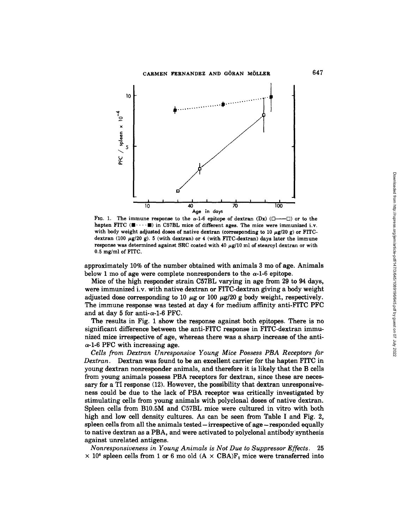

FIG. 1. The immune response to the  $\alpha$ -1-6 epitope of dextran (Dx) ( $\Box$ — $\Box$ ) or to the hapten FITC ( $\blacksquare \cdots \blacksquare$ ) in C57BL mice of different ages. The mice were immunized i.v. with body weight adjusted doses of native dextran (corresponding to 10  $\mu$ g/20 g) or FITCdextran (100  $\mu$ g/20 g). 5 (with dextran) or 4 (with FITC-dextran) days later the immune response was determined against SRC coated with 40  $\mu$ g/10 ml of stearoyl dextran or with 0.5 mg/ml of FITC.

approximately 10% of the number obtained with animals 3 mo of age. Animals below 1 mo of age were complete nonresponders to the  $\alpha$ -1-6 epitope.

Mice of the high responder strain C57BL varying in age from 29 to 94 days, were immunized i.v. with native dextran or FITC-dextran giving a body weight adjusted dose corresponding to 10  $\mu$ g or 100  $\mu$ g/20 g body weight, respectively. The immune response was tested at day 4 for medium affinity anti-FITC PFC and at day 5 for anti- $\alpha$ -1-6 PFC.

The results in Fig. 1 show the response against both epitopes. There is no significant difference between the anti-FITC response in FITC-dextran immunized mice irrespective of age, whereas there was a sharp increase of the anti- $\alpha$ -1-6 PFC with increasing age.

*Cells from Dextran Unresponsive Young Mice Possess PBA Receptors for Dextran.* Dextran was found to be an excellent carrier for the hapten FITC in young dextran nonresponder animals, and therefore it is likely that the B cells from young animals possess PBA receptors for dextran, since these are necessary for a TI response (12). However, the possibility that dextran unresponsiveness could be due to the lack of PBA receptor was critically investigated by stimulating cells from young animals with polyclonal doses of native dextran. Spleen cells from B10.5M and C57BL mice were cultured in vitro with both high and low cell density cultures. As can be seen from Table I and Fig. 2, spleen cells from all the animals tested-irrespective of age-responded equally to native dextran as a PBA, and were activated to polyclonal antibodysynthesis against unrelated antigens.

*Nonresponsiveness in Young Animals is Not Due to Suppressor Effects.* 25  $\times$  10<sup>6</sup> spleen cells from 1 or 6 mo old (A  $\times$  CBA)F<sub>1</sub> mice were transferred into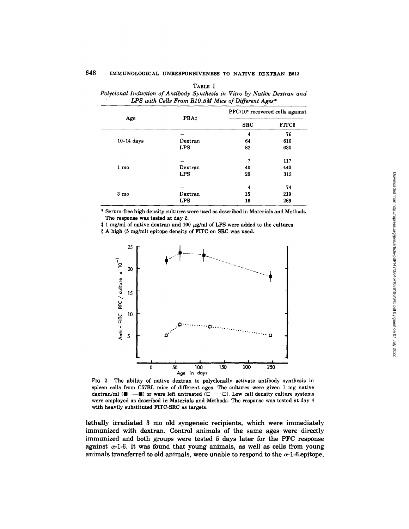## 648 IMMUNOLOGICAL UNRESPONSIVENESS TO NATIVE DEXTRAN B512

| Age             | PBA‡       | PFC/10 <sup>6</sup> recovered cells against |               |
|-----------------|------------|---------------------------------------------|---------------|
|                 |            | <b>SRC</b>                                  | <b>FITC\$</b> |
| $10-14$ days    |            | 4                                           | 76            |
|                 | Dextran    | 64                                          | 610           |
|                 | <b>LPS</b> | 82                                          | 630           |
| 1 <sub>mo</sub> |            | 7                                           | 117           |
|                 | Dextran    | 40                                          | 440           |
|                 | LPS        | 29                                          | 313           |
| 3 <sub>mo</sub> |            | 4                                           | 74            |
|                 | Dextran    | 15                                          | 219           |
|                 | <b>LPS</b> | 16                                          | 269           |

TABLE I *Polyclonal Induction of Antibody Synthesis in Vitro by Native Dextran and LPS with Cells From BIO.5M Mice of Different Ages\** 

\* Serum-free high density cultures were used as described in Materials and Methods. The response was tested at day 2.

 $\ddagger$  1 mg/ml of native dextran and 100  $\mu$ g/ml of LPS were added to the cultures.

§ A high (5 mg/ml) epitope density of FITC on SRC was used.



FIG. 2. The ability of native dextran to polyclonally activate antibody synthesis in spleen cells from C57BL mice of different ages. The cultures were given 1 mg native dextran/ml  $(\blacksquare \cdots \blacksquare)$  or were left untreated  $(\square \cdots \square)$ . Low cell density culture systems were employed as described in Materials and Methods. The response was tested at day 4 with heavily substituted FITC-SRC as targets.

lethally irradiated 3 mo old syngeneic recipients, which were immediately immunized with dextran. Control animals of the same ages were directly immunized and both groups were tested 5 days later for the PFC response against  $\alpha$ -1-6. It was found that young animals, as well as cells from young animals transferred to old animals, were unable to respond to the  $\alpha$ -1-6 epitope,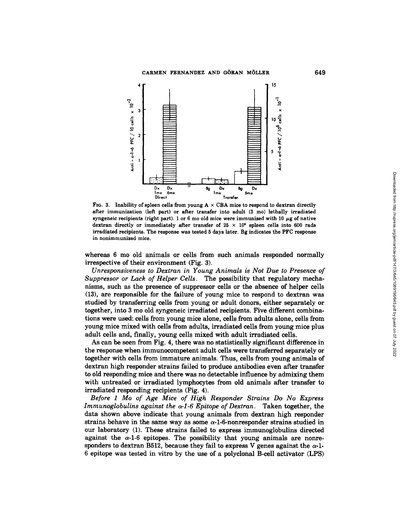

FIG. 3. Inability of spleen cells from young  $A \times CBA$  mice to respond to dextran directly after immunization (left part) or after transfer into adult (3 mo) lethally irradiated syngeneic recipients (right part). 1 or 6 mo old mice were immunized with 10  $\mu$ g of native dextran directly or immediately after transfer of  $25 \times 10^6$  spleen cells into 600 rads irradiated recipients. The response was tested 5 days later. Bg indicates the PFC response in nonimmunized mice.

whereas 6 mo old animals or cells from such animals responded normally irrespective of their environment (Fig. 3).

*Unresponsiveness to Dextran in Young Animals is Not Due to Presence of Suppressor or Lack of Helper Cells.* The possibility that regulatory mechanisms, such as the presence of suppressor cells or the absence of helper cells (13), are responsible for the failure of young mice to respond to dextran was studied by transferring cells from young or adult donors, either separately or together, into 3 mo old syngeneic irradiated recipients. Five different combinations were used: cells from young mice alone, cells from adults alone, cells from young mice mixed with cells from adults, irradiated cells from young mice plus adult cells and, finally, young cells mixed with adult irradiated cells.

As can be seen from Fig. 4, there was no statistically significant difference in the response when immunocompetent adult cells were transferred separately or together with cells from immature animals. Thus, cells from young animals of dextran high responder strains failed to produce antibodies even after transfer to old responding mice and there was no detectable influence by admixing them with untreated or irradiated lymphocytes from old animals after transfer to irradiated responding recipients (Fig. 4).

*Before 1 Mo of Age Mice of High Responder Strains Do No Express Immunoglobulins against the*  $\alpha$ *-1-6 Epitope of Dextran.* Taken together, the data shown above indicate that young animals from dextran high responder strains behave in the same way as some  $\alpha$ -1-6-nonresponder strains studied in our laboratory (1). These strains failed to express immunoglobulins directed against the  $\alpha$ -1-6 epitopes. The possibility that young animals are nonresponders to dextran B512, because they fail to express V genes against the  $\alpha$ -1-6 epitope was tested in vitro by the use of a polyclonal B-cell activator (LPS)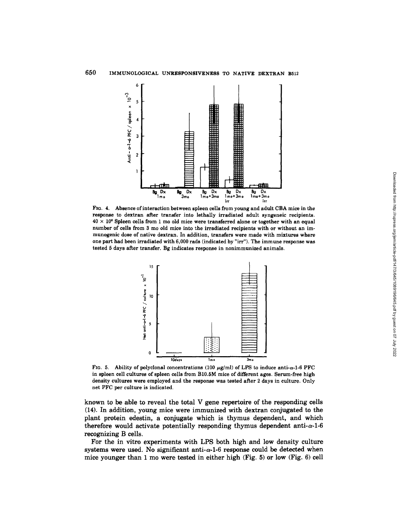

FIG. 4. Absence of interaction between spleen cells from young and adult CBA mice in the response to dextran after transfer into lethally irradiated adult syngeneic recipients.  $40 \times 10^6$  Spleen cells from 1 mo old mice were transferred alone or together with an equal number of cells from 3 mo old mice into the irradiated recipients with or without an immunogenic dose of native dextran. In addition, transfers were made with mixtures where one part had been irradiated with 6,000 fads (indicated by "irr"). The immune response was tested 5 days after transfer. Bg indicates response in nonimmunized animals.



FIG. 5. Ability of polyclonal concentrations (100  $\mu$ g/ml) of LPS to induce anti- $\alpha$ -1-6 PFC in spleen cell cultures of spleen cells from B10.5M mice of different ages. Serum-free high density cultures were employed and the response was tested after 2 days in culture. Only net PFC per culture is indicated.

known to be able to reveal the total V gene repertoire of the responding cells (14). In addition, young mice were immunized with dextran conjugated to the plant protein edestin, a conjugate which is thymus dependent, and which therefore would activate potentially responding thymus dependent anti- $\alpha$ -1-6 recognizing B cells.

For the in vitro experiments with LPS both high and low density culture systems were used. No significant anti- $\alpha$ -1-6 response could be detected when mice younger than 1 mo were tested in either high (Fig. 5) or low (Fig. 6) cell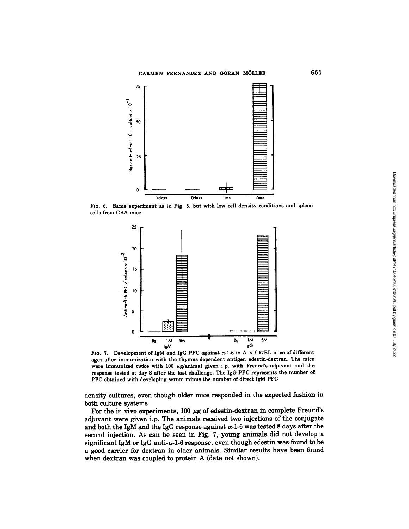## CARMEN FERNANDEZ AND GORAN MOLLER



FIG. 6. Same experiment as in Fig. 5, but with low cell density conditions and spleen cells from CBA mice.



FIG. 7. Development of IgM and IgG PFC against  $\alpha$ -1-6 in A  $\times$  C57BL mice of different ages after immunization with the thymus-dependent antigen edestin-dextran. The mice were immunized twice with 100  $\mu$ g/animal given i.p. with Freund's adjuvant and the response tested at day 8 after the last challenge. The IgG PFC represents the number of PFC obtained with developing serum minus the number of direct IgM PFC.

**density cultures, even though older mice responded in the expected fashion in both culture systems.** 

For the in vivo experiments, 100  $\mu$ g of edestin-dextran in complete Freund's adjuvant were given i.p. The animals received two injections of the conjugate and both the IgM and the IgG response against  $\alpha$ -1-6 was tested 8 days after the second injection. As can be seen in Fig. 7, young animals did not develop a significant IgM or IgG anti- $\alpha$ -1-6 response, even though edestin was found to be a good carrier for dextran in older animals. Similar results have been found when dextran was coupled to protein A (data not shown).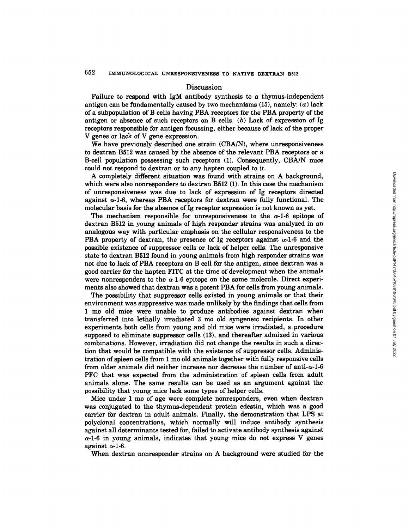### Discussion

Failure to respond with IgM antibody synthesis to a thymus-independent antigen can be fundamentally caused by two mechanisms  $(15)$ , namely:  $(a)$  lack of a subpopulation of B cells having PBA receptors for the PBA property of the antigen or absence of such receptors on B cells.  $(b)$  Lack of expression of Ig receptors responsible for antigen focussing, either because of lack of the proper V genes or lack of V gene expression.

We have previously described one strain (CBA/N), where unresponsiveness to dextran B512 was caused by the absence of the relevant PBA receptors or a B-cell population possessing such receptors (1). Consequently, CBA/N mice could not respond to dextran or to any hapten coupled to it.

A completely different situation was found with strains on A background, which were also nonresponders to dextran B512 (1). In this case the mechanism of unresponsiveness was due to lack of expression of Ig receptors directed against  $\alpha$ -1-6, whereas PBA receptors for dextran were fully functional. The molecular basis for the absence of Ig receptor expression is not known as yet.

The mechanism responsible for unresponsiveness to the  $\alpha$ -1-6 epitope of dextran B512 in young animals of high responder strains was analyzed in an analogous way with particular emphasis on the cellular responsiveness to the PBA property of dextran, the presence of Ig receptors against  $\alpha$ -1-6 and the possible existence of suppressor cells or lack of helper cells. The unresponsive state to dextran B512 found in young animals from high responder strains was not due to lack of PBA receptors on B cell for the antigen, since dextran was a good carrier for the hapten FITC at the time of development when the animals were nonresponders to the  $\alpha$ -1-6 epitope on the same molecule. Direct experiments also showed that dextran was a potent PBA for cells from young animals.

The possibility that suppressor cells existed in young animals or that their environment was suppressive was made unlikely by the findings that cells from 1 mo old mice were unable to produce antibodies against dextran when transferred into lethally irradiated 3 mo old syngeneic recipients. In other experiments both cells from young and old mice were irradiated, a procedure supposed to eliminate suppressor cells (13), and thereafter admixed in various combinations. However, irradiation did not change the results in such a direction that would be compatible with the existence of suppressor cells. Administration of spleen cells from 1 mo old animals together with fully responsive cells from older animals did neither increase nor decrease the number of anti- $\alpha$ -1-6 PFC that was expected from the administration of spleen cells from adult animals alone. The same results can be used as an argument against the possibility that young mice lack some types of helper cells.

Mice under 1 mo of age were complete nonresponders, even when dextran was conjugated to the thymus-dependent protein edestin, which was a good carrier for dextran in adult animals. Finally, the demonstration that LPS at polyclonal concentrations, which normally will induce antibody synthesis against all determinants tested for, failed to activate antibody synthesis against  $\alpha$ -1-6 in young animals, indicates that young mice do not express V genes against  $\alpha$ -1-6.

When dextran nonresponder strains on A background were studied for the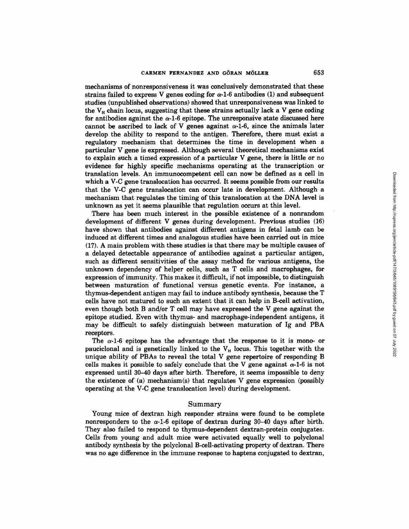mechanisms of nonresponsiveness it was conclusively demonstrated that these strains failed to express V genes coding for  $\alpha$ -1-6 antibodies (1) and subsequent studies (unpublished observations) showed that unresponsiveness was linked to the  $V_H$  chain locus, suggesting that these strains actually lack a V gene coding for antibodies against the  $\alpha$ -1-6 epitope. The unresponsive state discussed here cannot be ascribed to lack of V genes against  $\alpha$ -1-6, since the animals later develop the ability to respond to the antigen. Therefore, there must exist a regulatory mechanism that determines the time in development when a particular V gene is expressed. Although several theoretical mechanisms exist to explain such a timed expression of a particular V gene, there is little or no evidence for highly specific mechanisms operating at the transcription or translation levels. An immunocompetent cell can now be defined as a cell in which a V-C gene translocation has occurred. It seems possible from our results that the V-C gene translocation can occur late in development. Although a mechanism that regulates the timing of this translocation at the DNA level is unknown as yet it seems plausible that regulation occurs at this level.

There has been much interest in the possible existence of a nonrandom development of different V genes during development. Previous studies (16) have shown that antibodies against different antigens in fetal lamb can be induced at different times and analogous studies have been carried out in mice (17). A main problem with these studies is that there may be multiple causes of a delayed detectable appearance of antibodies against a particular antigen, such as different sensitivities of the assay method for various antigens, the unknown dependency of helper cells, such as T cells and macrophages, for expression of immunity. This makes it difficult, if not impossible, to distinguish between maturation of functional versus genetic events. For instance, a thymus-dependent antigen may fail to induce antibody synthesis, because the T cells have not matured to such an extent that it can help in B-cell activation, even though both B and/or T cell may have expressed the V gene against the epitope studied. Even with thymus- and macrophage-independent antigens, it may be difficult to safely distinguish between maturation of Ig and PBA receptors.

The  $\alpha$ -1-6 epitope has the advantage that the response to it is mono- or pauciclonal and is genetically linked to the  $V_H$  locus. This together with the unique ability of PBAs to reveal the total V gene repertoire of responding B cells makes it possible to safely conclude that the V gene against  $\alpha$ -1-6 is not expressed until 30-40 days after birth. Therefore, it seems impossible to deny the existence of (a) mechanism(s) that regulates V gene expression (possibly operating at the V-C gene translocation level) during development.

#### Summary

Young mice of dextran high responder strains were found to be complete nonresponders to the  $\alpha$ -1-6 epitope of dextran during 30-40 days after birth. They also failed to respond to thymus-dependent dextran-protein conjugates. Cells from young and adult mice were activated equally well to polyclonal antibody synthesis by the polyclonal B-cell-activating property of dextran. There was no age difference in the immune response to haptens conjugated to dextran,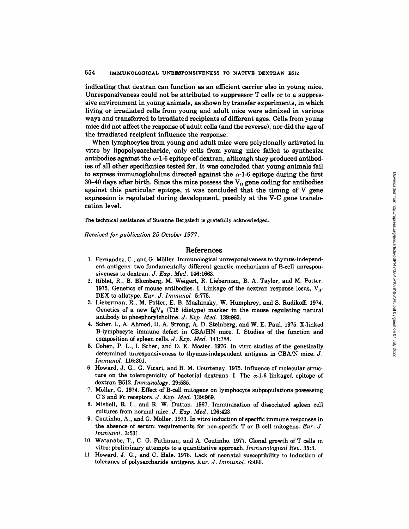indicating that dextran can function as an efficient carrier also in young mice. Unresponsiveness could not be attributed to suppressor T cells or to a suppressive environment in young animals, as shown by transfer experiments, in which living or irradiated cells from young and adult mice were admixed in various ways and transferred to irradiated recipients of different ages. Cells from young mice did not affect the response of adult cells (and the reverse), nor did the age of the irradiated recipient influence the response.

When lymphocytes from young and adult mice were polyclonally activated in vitro by lipopolysaccharide, only cells from young mice failed to synthesize antibodies against the  $\alpha$ -1-6 epitope of dextran, although they produced antibodies of all other specificities tested for. It was concluded that young animals fail to express immunoglobulins directed against the  $\alpha$ -1-6 epitope during the first 30-40 days after birth. Since the mice possess the  $V_H$  gene coding for antibodies against this particular epitope, it was concluded that the timing of V gene expression is regulated during development, possibly at the V-C gene translocation level.

The technical assistance of Susanne Bergstedt is gratefully acknowledged.

*Received for publication 25 October 1977.* 

### References

- 1. Fernandez, C., and G. Möller. Immunological unresponsiveness to thymus-independent antigens: two fundamentally different genetic mechanisms of B-cell unresponsiveness to dextran. *J. Exp. Med.* 146:1663.
- 2. Riblet, R., B. Blomberg, M. Weigert, R. Lieberman, B. A. Taylor, and M. Potter. 1975. Genetics of mouse antibodies. I. Linkage of the dextran response locus,  $V_{H}$ -DEX to allotype. *Eur. J. Immunol.* 5:775.
- 3. Lieberman, R., M. Potter, E. B. Mushinsky, W. Humphrey, and S. Rudikoff. 1974. Genetics of a new IgV $_H$  (T15 idiotype) marker in the mouse regulating natural antibody to phosphorylcholine. *J. Exp. Med.* 139:983.
- 4. Scher, I., A. Ahmed, D. A. Strong, A. D. Steinberg, and W. E. Paul. 1975. X-linked B-lymphocyte immune defect in CBA/HN mice. I. Studies of the function and composition of spleen cells. *J. Exp. Med.* **141:788.**
- 5. Cohen, P. L., I. Scher, and D. E. Mosier. 1976. In vitro studies of the genetically determined unresponsiveness to thymus-independent antigens in CBA/N mice. J. *Irnmunol.* 116:301.
- 6. Howard, J. G., G. Vicari, and B. M. Courtenay. 1975. Influence of molecular structure on the tolerogenicity of bacterial dextrans. I. The  $\alpha$ -1-6 linkaged epitope of dextran B512. *Immunology.* 29:585.
- 7. Möller, G. 1974. Effect of B-cell mitogens on lymphocyte subpopulations possessing C'3 and Fc receptors. *J. Exp. Med.* 139:969.
- 8. Mishell, R. I., and R. W. Dutton. 1967. Immunization of dissociated spleen cell cultures from normal mice. *J. Exp. Med.* 126:423.
- 9. Coutinho, A., and G. M611er. 1973. In vitro induction of specific immune responses in the absence of serum: requirements for non-specific T or B cell mitogens. *Eur. J. Immunol.* 3:531.
- 10. Watanabe, T., C. G. Fathman, and A. Coutinho. 1977. Clonal growth of T cells in vitro: preliminary attempts to a quantitative approach. *Immunological Rev.* 35:3.
- 11. Howard, J. G., and C. Hale. 1976. Lack of neonatal susceptibility to induction of tolerance of polysaccharide antigens. *Eur. J. Immunol.* 6:486.